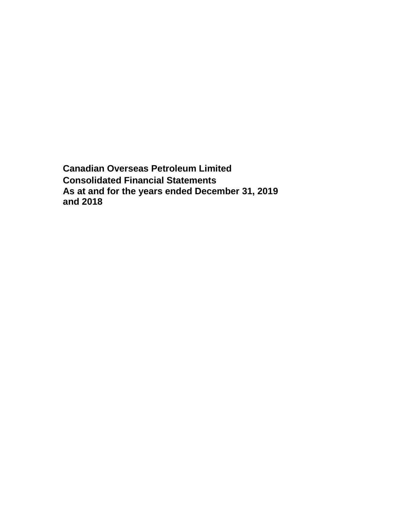**Canadian Overseas Petroleum Limited Consolidated Financial Statements As at and for the years ended December 31, 2019 and 2018**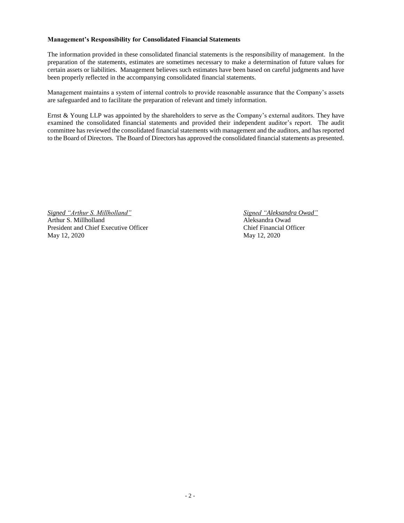#### **Management's Responsibility for Consolidated Financial Statements**

The information provided in these consolidated financial statements is the responsibility of management. In the preparation of the statements, estimates are sometimes necessary to make a determination of future values for certain assets or liabilities. Management believes such estimates have been based on careful judgments and have been properly reflected in the accompanying consolidated financial statements.

Management maintains a system of internal controls to provide reasonable assurance that the Company's assets are safeguarded and to facilitate the preparation of relevant and timely information.

Ernst & Young LLP was appointed by the shareholders to serve as the Company's external auditors. They have examined the consolidated financial statements and provided their independent auditor's report. The audit committee has reviewed the consolidated financial statements with management and the auditors, and has reported to the Board of Directors. The Board of Directors has approved the consolidated financial statements as presented.

*Signed "Arthur S. Millholland" Signed "Aleksandra Owad"* Arthur S. Millholland Aleksandra Owad President and Chief Executive Officer Chief Financial Officer May 12, 2020 May 12, 2020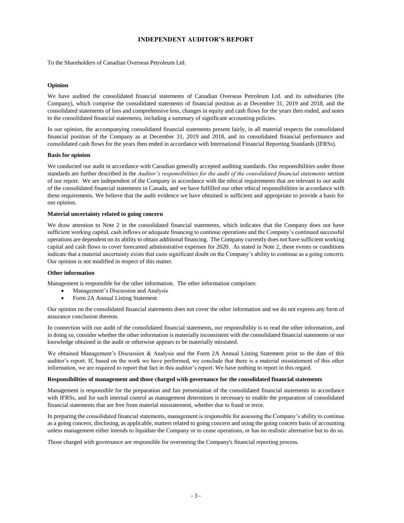#### **INDEPENDENT AUDITOR'S REPORT**

To the Shareholders of Canadian Overseas Petroleum Ltd.

#### **Opinion**

We have audited the consolidated financial statements of Canadian Overseas Petroleum Ltd. and its subsidiaries (the Company), which comprise the consolidated statements of financial position as at December 31, 2019 and 2018, and the consolidated statements of loss and comprehensive loss, changes in equity and cash flows for the years then ended, and notes to the consolidated financial statements, including a summary of significant accounting policies.

In our opinion, the accompanying consolidated financial statements present fairly, in all material respects the consolidated financial position of the Company as at December 31, 2019 and 2018, and its consolidated financial performance and consolidated cash flows for the years then ended in accordance with International Financial Reporting Standards (IFRSs).

#### **Basis for opinion**

We conducted our audit in accordance with Canadian generally accepted auditing standards. Our responsibilities under those standards are further described in the *Auditor's responsibilities for the audit of the consolidated financial statements* section of our report. We are independent of the Company in accordance with the ethical requirements that are relevant to our audit of the consolidated financial statements in Canada, and we have fulfilled our other ethical responsibilities in accordance with these requirements. We believe that the audit evidence we have obtained is sufficient and appropriate to provide a basis for our opinion.

#### **Material uncertainty related to going concern**

We draw attention to Note 2 in the consolidated financial statements, which indicates that the Company does not have sufficient working capital, cash inflows or adequate financing to continue operations and the Company's continued successful operations are dependent on its ability to obtain additional financing. The Company currently does not have sufficient working capital and cash flows to cover forecasted administrative expenses for 2020. As stated in Note 2, these events or conditions indicate that a material uncertainty exists that casts significant doubt on the Company's ability to continue as a going concern. Our opinion is not modified in respect of this matter.

#### **Other information**

Management is responsible for the other information. The other information comprises:

- Management's Discussion and Analysis
- Form 2A Annual Listing Statement

Our opinion on the consolidated financial statements does not cover the other information and we do not express any form of assurance conclusion thereon.

In connection with our audit of the consolidated financial statements, our responsibility is to read the other information, and in doing so, consider whether the other information is materially inconsistent with the consolidated financial statements or our knowledge obtained in the audit or otherwise appears to be materially misstated.

We obtained Management's Discussion & Analysis and the Form 2A Annual Listing Statement prior to the date of this auditor's report. If, based on the work we have performed, we conclude that there is a material misstatement of this other information, we are required to report that fact in this auditor's report. We have nothing to report in this regard.

#### **Responsibilities of management and those charged with governance for the consolidated financial statements**

Management is responsible for the preparation and fair presentation of the consolidated financial statements in accordance with IFRSs, and for such internal control as management determines is necessary to enable the preparation of consolidated financial statements that are free from material misstatement, whether due to fraud or error.

In preparing the consolidated financial statements, management is responsible for assessing the Company's ability to continue as a going concern, disclosing, as applicable, matters related to going concern and using the going concern basis of accounting unless management either intends to liquidate the Company or to cease operations, or has no realistic alternative but to do so.

Those charged with governance are responsible for overseeing the Company's financial reporting process.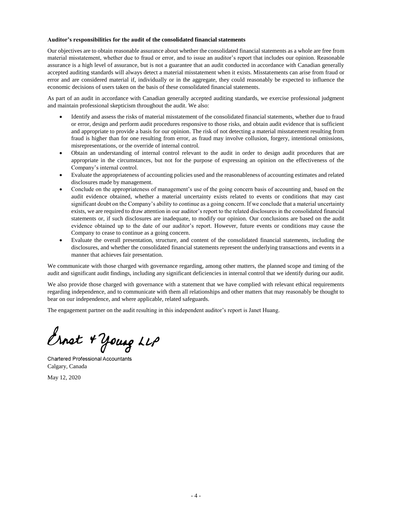#### **Auditor's responsibilities for the audit of the consolidated financial statements**

Our objectives are to obtain reasonable assurance about whether the consolidated financial statements as a whole are free from material misstatement, whether due to fraud or error, and to issue an auditor's report that includes our opinion. Reasonable assurance is a high level of assurance, but is not a guarantee that an audit conducted in accordance with Canadian generally accepted auditing standards will always detect a material misstatement when it exists. Misstatements can arise from fraud or error and are considered material if, individually or in the aggregate, they could reasonably be expected to influence the economic decisions of users taken on the basis of these consolidated financial statements.

As part of an audit in accordance with Canadian generally accepted auditing standards, we exercise professional judgment and maintain professional skepticism throughout the audit. We also:

- Identify and assess the risks of material misstatement of the consolidated financial statements, whether due to fraud or error, design and perform audit procedures responsive to those risks, and obtain audit evidence that is sufficient and appropriate to provide a basis for our opinion. The risk of not detecting a material misstatement resulting from fraud is higher than for one resulting from error, as fraud may involve collusion, forgery, intentional omissions, misrepresentations, or the override of internal control.
- Obtain an understanding of internal control relevant to the audit in order to design audit procedures that are appropriate in the circumstances, but not for the purpose of expressing an opinion on the effectiveness of the Company's internal control.
- Evaluate the appropriateness of accounting policies used and the reasonableness of accounting estimates and related disclosures made by management.
- Conclude on the appropriateness of management's use of the going concern basis of accounting and, based on the audit evidence obtained, whether a material uncertainty exists related to events or conditions that may cast significant doubt on the Company's ability to continue as a going concern. If we conclude that a material uncertainty exists, we are required to draw attention in our auditor's report to the related disclosures in the consolidated financial statements or, if such disclosures are inadequate, to modify our opinion. Our conclusions are based on the audit evidence obtained up to the date of our auditor's report. However, future events or conditions may cause the Company to cease to continue as a going concern.
- Evaluate the overall presentation, structure, and content of the consolidated financial statements, including the disclosures, and whether the consolidated financial statements represent the underlying transactions and events in a manner that achieves fair presentation.

We communicate with those charged with governance regarding, among other matters, the planned scope and timing of the audit and significant audit findings, including any significant deficiencies in internal control that we identify during our audit.

We also provide those charged with governance with a statement that we have complied with relevant ethical requirements regarding independence, and to communicate with them all relationships and other matters that may reasonably be thought to bear on our independence, and where applicable, related safeguards.

The engagement partner on the audit resulting in this independent auditor's report is Janet Huang.

Ernst + Young LLP

**Chartered Professional Accountants** Calgary, Canada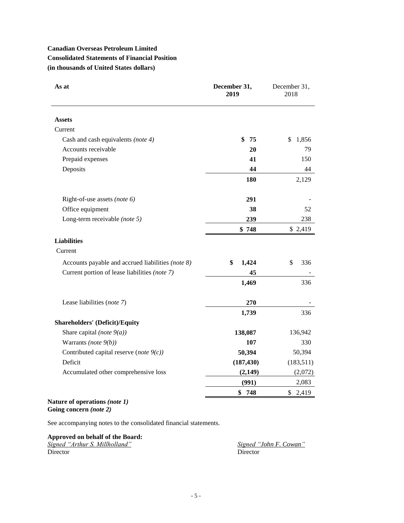# **Canadian Overseas Petroleum Limited Consolidated Statements of Financial Position (in thousands of United States dollars)**

| As at                                             | December 31,<br>2019 | December 31,<br>2018 |
|---------------------------------------------------|----------------------|----------------------|
| <b>Assets</b>                                     |                      |                      |
| Current                                           |                      |                      |
| Cash and cash equivalents (note 4)                | \$<br>75             | \$<br>1,856          |
| Accounts receivable                               | 20                   | 79                   |
| Prepaid expenses                                  | 41                   | 150                  |
| Deposits                                          | 44                   | 44                   |
|                                                   | 180                  | 2,129                |
| Right-of-use assets (note 6)                      | 291                  |                      |
| Office equipment                                  | 38                   | 52                   |
| Long-term receivable (note 5)                     | 239                  | 238                  |
|                                                   | \$748                | \$2,419              |
| <b>Liabilities</b>                                |                      |                      |
| Current                                           |                      |                      |
| Accounts payable and accrued liabilities (note 8) | \$<br>1,424          | \$<br>336            |
| Current portion of lease liabilities (note 7)     | 45                   |                      |
|                                                   | 1,469                | 336                  |
| Lease liabilities (note 7)                        | 270                  |                      |
|                                                   | 1,739                | 336                  |
| <b>Shareholders' (Deficit)/Equity</b>             |                      |                      |
| Share capital (note $9(a)$ )                      | 138,087              | 136,942              |
| Warrants (note $9(b)$ )                           | 107                  | 330                  |
| Contributed capital reserve (note $9(c)$ )        | 50,394               | 50,394               |
| Deficit                                           | (187, 430)           | (183, 511)           |
| Accumulated other comprehensive loss              | (2,149)              | (2,072)              |
|                                                   | (991)                | 2,083                |
|                                                   | \$748                | 2,419<br>\$          |

# **Nature of operations** *(note 1)* **Going concern** *(note 2)*

See accompanying notes to the consolidated financial statements.

# **Approved on behalf of the Board:**

*Signed "Arthur S. Millholland" Signed "John F. Cowan"* Signed "Arthur S. Millholland"<br>Director Director Director Director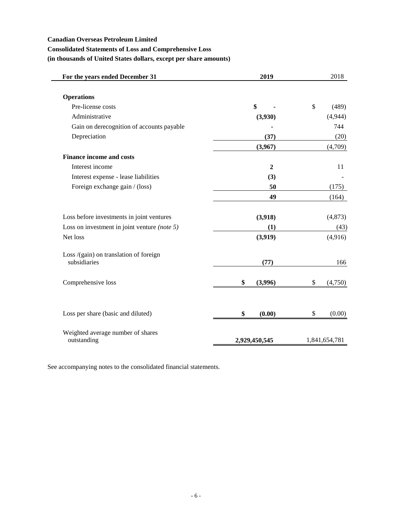#### **Canadian Overseas Petroleum Limited**

# **Consolidated Statements of Loss and Comprehensive Loss**

**(in thousands of United States dollars, except per share amounts)**

| For the years ended December 31                        | 2019           | 2018          |
|--------------------------------------------------------|----------------|---------------|
| <b>Operations</b>                                      |                |               |
| Pre-license costs                                      | \$             | \$<br>(489)   |
| Administrative                                         | (3,930)        | (4,944)       |
| Gain on derecognition of accounts payable              |                | 744           |
| Depreciation                                           | (37)           | (20)          |
|                                                        | (3,967)        | (4,709)       |
| <b>Finance income and costs</b>                        |                |               |
| Interest income                                        | $\overline{2}$ | 11            |
| Interest expense - lease liabilities                   | (3)            |               |
| Foreign exchange gain / (loss)                         | 50             | (175)         |
|                                                        | 49             | (164)         |
| Loss before investments in joint ventures              | (3,918)        | (4, 873)      |
| Loss on investment in joint venture (note $5$ )        | (1)            | (43)          |
| Net loss                                               | (3,919)        | (4,916)       |
| Loss /(gain) on translation of foreign<br>subsidiaries | (77)           | 166           |
|                                                        |                |               |
| Comprehensive loss                                     | \$<br>(3,996)  | (4,750)<br>\$ |
|                                                        |                |               |
| Loss per share (basic and diluted)                     | \$<br>(0.00)   | \$<br>(0.00)  |
| Weighted average number of shares                      |                |               |
| outstanding                                            | 2,929,450,545  | 1,841,654,781 |

See accompanying notes to the consolidated financial statements.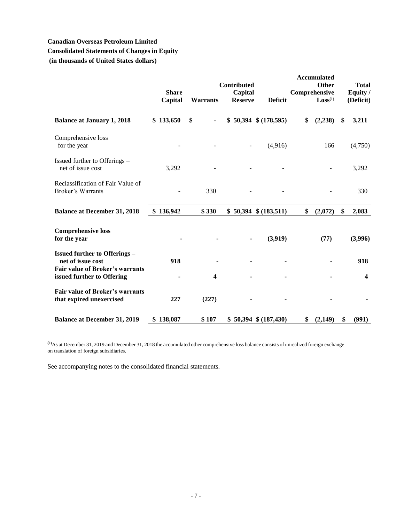# **Canadian Overseas Petroleum Limited**

# **Consolidated Statements of Changes in Equity**

**(in thousands of United States dollars)**

|                                                                                                     |               |                 |                |                         | <b>Accumulated</b>  |                  |
|-----------------------------------------------------------------------------------------------------|---------------|-----------------|----------------|-------------------------|---------------------|------------------|
|                                                                                                     |               |                 | Contributed    |                         | <b>Other</b>        | <b>Total</b>     |
|                                                                                                     | <b>Share</b>  |                 | Capital        |                         | Comprehensive       | Equity /         |
|                                                                                                     | Capital       | <b>Warrants</b> | <b>Reserve</b> | <b>Deficit</b>          | Loss <sup>(1)</sup> | (Deficit)        |
| <b>Balance at January 1, 2018</b>                                                                   | \$133,650     | \$              |                | $$50,394$ $$(178,595)$  | \$<br>(2,238)       | 3,211<br>\$      |
| Comprehensive loss<br>for the year                                                                  |               |                 |                | (4,916)                 | 166                 | (4,750)          |
| Issued further to Offerings -<br>net of issue cost                                                  | 3,292         |                 |                |                         |                     | 3,292            |
| Reclassification of Fair Value of<br>Broker's Warrants                                              |               | 330             |                |                         |                     | 330              |
| <b>Balance at December 31, 2018</b>                                                                 | 136,942<br>\$ | \$330           |                | $$50,394$ $$ (183,511)$ | \$<br>(2,072)       | \$<br>2,083      |
| <b>Comprehensive loss</b><br>for the year                                                           |               |                 |                | (3,919)                 | (77)                | (3,996)          |
| <b>Issued further to Offerings -</b><br>net of issue cost<br><b>Fair value of Broker's warrants</b> | 918           |                 |                |                         |                     | 918              |
| issued further to Offering                                                                          |               | 4               |                |                         |                     | $\boldsymbol{4}$ |
| <b>Fair value of Broker's warrants</b><br>that expired unexercised                                  | 227           | (227)           |                |                         |                     |                  |
| <b>Balance at December 31, 2019</b>                                                                 | \$138,087     | \$107           |                | $$50,394 \$ (187,430)$  | \$<br>(2,149)       | \$<br>(991)      |

**(1)**As at December 31, 2019 and December 31, 2018 the accumulated other comprehensive loss balance consists of unrealized foreign exchange on translation of foreign subsidiaries.

See accompanying notes to the consolidated financial statements.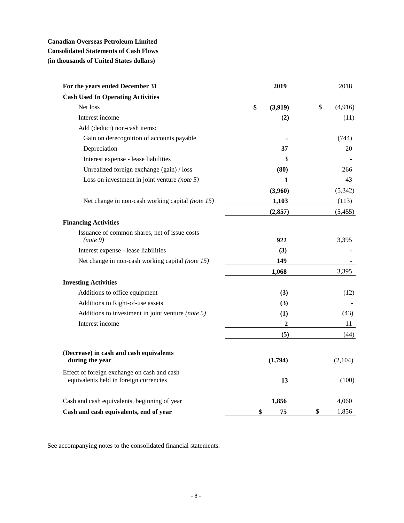# **Canadian Overseas Petroleum Limited Consolidated Statements of Cash Flows (in thousands of United States dollars)**

| For the years ended December 31                            | 2019          | 2018                    |
|------------------------------------------------------------|---------------|-------------------------|
| <b>Cash Used In Operating Activities</b>                   |               |                         |
| Net loss                                                   | \$<br>(3,919) | $\mathbb{S}$<br>(4,916) |
| Interest income                                            | (2)           | (11)                    |
| Add (deduct) non-cash items:                               |               |                         |
| Gain on derecognition of accounts payable                  |               | (744)                   |
| Depreciation                                               | 37            | 20                      |
| Interest expense - lease liabilities                       | 3             |                         |
| Unrealized foreign exchange (gain) / loss                  | (80)          | 266                     |
| Loss on investment in joint venture (note $5$ )            | 1             | 43                      |
|                                                            | (3,960)       | (5,342)                 |
| Net change in non-cash working capital (note 15)           | 1,103         | (113)                   |
|                                                            | (2, 857)      | (5, 455)                |
| <b>Financing Activities</b>                                |               |                         |
| Issuance of common shares, net of issue costs<br>(note 9)  | 922           | 3,395                   |
| Interest expense - lease liabilities                       | (3)           |                         |
| Net change in non-cash working capital (note 15)           | 149           |                         |
|                                                            | 1,068         | 3,395                   |
| <b>Investing Activities</b>                                |               |                         |
| Additions to office equipment                              | (3)           | (12)                    |
| Additions to Right-of-use assets                           | (3)           |                         |
| Additions to investment in joint venture (note $5$ )       | (1)           | (43)                    |
| Interest income                                            | 2             | 11                      |
|                                                            | (5)           | (44)                    |
| (Decrease) in cash and cash equivalents<br>during the year | (1,794)       | (2,104)                 |
| Effect of foreign exchange on cash and cash                |               |                         |
| equivalents held in foreign currencies                     | 13            | (100)                   |
| Cash and cash equivalents, beginning of year               | 1,856         | 4,060                   |
| Cash and cash equivalents, end of year                     | \$<br>75      | $\mathcal{S}$<br>1,856  |

See accompanying notes to the consolidated financial statements.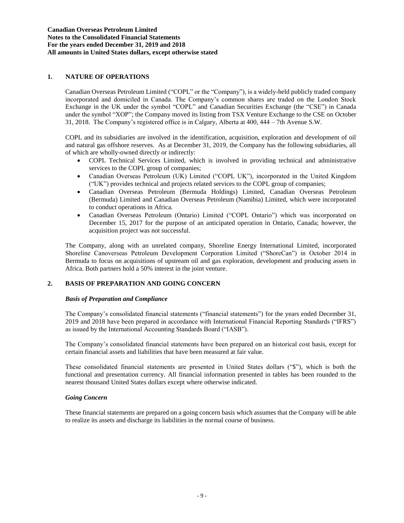# **1. NATURE OF OPERATIONS**

Canadian Overseas Petroleum Limited ("COPL" or the "Company"), is a widely-held publicly traded company incorporated and domiciled in Canada. The Company's common shares are traded on the London Stock Exchange in the UK under the symbol "COPL" and Canadian Securities Exchange (the "CSE") in Canada under the symbol "XOP"; the Company moved its listing from TSX Venture Exchange to the CSE on October 31, 2018. The Company's registered office is in Calgary, Alberta at 400, 444 – 7th Avenue S.W.

COPL and its subsidiaries are involved in the identification, acquisition, exploration and development of oil and natural gas offshore reserves. As at December 31, 2019, the Company has the following subsidiaries, all of which are wholly-owned directly or indirectly:

- COPL Technical Services Limited, which is involved in providing technical and administrative services to the COPL group of companies;
- Canadian Overseas Petroleum (UK) Limited ("COPL UK"), incorporated in the United Kingdom ("UK") provides technical and projects related services to the COPL group of companies;
- Canadian Overseas Petroleum (Bermuda Holdings) Limited, Canadian Overseas Petroleum (Bermuda) Limited and Canadian Overseas Petroleum (Namibia) Limited, which were incorporated to conduct operations in Africa.
- Canadian Overseas Petroleum (Ontario) Limited ("COPL Ontario") which was incorporated on December 15, 2017 for the purpose of an anticipated operation in Ontario, Canada; however, the acquisition project was not successful.

The Company, along with an unrelated company, Shoreline Energy International Limited, incorporated Shoreline Canoverseas Petroleum Development Corporation Limited ("ShoreCan") in October 2014 in Bermuda to focus on acquisitions of upstream oil and gas exploration, development and producing assets in Africa. Both partners hold a 50% interest in the joint venture.

# **2. BASIS OF PREPARATION AND GOING CONCERN**

# *Basis of Preparation and Compliance*

The Company's consolidated financial statements ("financial statements") for the years ended December 31, 2019 and 2018 have been prepared in accordance with International Financial Reporting Standards ("IFRS") as issued by the International Accounting Standards Board ("IASB").

The Company's consolidated financial statements have been prepared on an historical cost basis, except for certain financial assets and liabilities that have been measured at fair value.

These consolidated financial statements are presented in United States dollars ("\$"), which is both the functional and presentation currency. All financial information presented in tables has been rounded to the nearest thousand United States dollars except where otherwise indicated.

# *Going Concern*

These financial statements are prepared on a going concern basis which assumes that the Company will be able to realize its assets and discharge its liabilities in the normal course of business.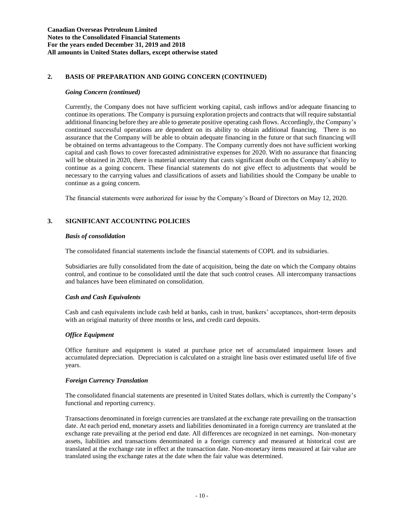# **2. BASIS OF PREPARATION AND GOING CONCERN (CONTINUED)**

#### *Going Concern (continued)*

Currently, the Company does not have sufficient working capital, cash inflows and/or adequate financing to continue its operations. The Company is pursuing exploration projects and contracts that will require substantial additional financing before they are able to generate positive operating cash flows. Accordingly, the Company's continued successful operations are dependent on its ability to obtain additional financing. There is no assurance that the Company will be able to obtain adequate financing in the future or that such financing will be obtained on terms advantageous to the Company. The Company currently does not have sufficient working capital and cash flows to cover forecasted administrative expenses for 2020. With no assurance that financing will be obtained in 2020, there is material uncertainty that casts significant doubt on the Company's ability to continue as a going concern. These financial statements do not give effect to adjustments that would be necessary to the carrying values and classifications of assets and liabilities should the Company be unable to continue as a going concern.

The financial statements were authorized for issue by the Company's Board of Directors on May 12, 2020.

# **3. SIGNIFICANT ACCOUNTING POLICIES**

#### *Basis of consolidation*

The consolidated financial statements include the financial statements of COPL and its subsidiaries.

Subsidiaries are fully consolidated from the date of acquisition, being the date on which the Company obtains control, and continue to be consolidated until the date that such control ceases. All intercompany transactions and balances have been eliminated on consolidation.

# *Cash and Cash Equivalents*

Cash and cash equivalents include cash held at banks, cash in trust, bankers' acceptances, short-term deposits with an original maturity of three months or less, and credit card deposits.

# *Office Equipment*

Office furniture and equipment is stated at purchase price net of accumulated impairment losses and accumulated depreciation. Depreciation is calculated on a straight line basis over estimated useful life of five years.

# *Foreign Currency Translation*

The consolidated financial statements are presented in United States dollars, which is currently the Company's functional and reporting currency.

Transactions denominated in foreign currencies are translated at the exchange rate prevailing on the transaction date. At each period end, monetary assets and liabilities denominated in a foreign currency are translated at the exchange rate prevailing at the period end date. All differences are recognized in net earnings. Non-monetary assets, liabilities and transactions denominated in a foreign currency and measured at historical cost are translated at the exchange rate in effect at the transaction date. Non-monetary items measured at fair value are translated using the exchange rates at the date when the fair value was determined.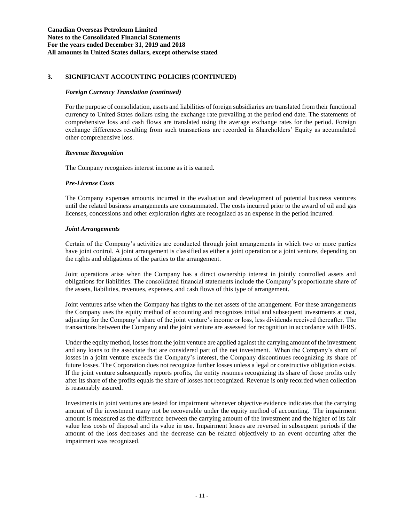#### *Foreign Currency Translation (continued)*

For the purpose of consolidation, assets and liabilities of foreign subsidiaries are translated from their functional currency to United States dollars using the exchange rate prevailing at the period end date. The statements of comprehensive loss and cash flows are translated using the average exchange rates for the period. Foreign exchange differences resulting from such transactions are recorded in Shareholders' Equity as accumulated other comprehensive loss.

# *Revenue Recognition*

The Company recognizes interest income as it is earned.

# *Pre-License Costs*

The Company expenses amounts incurred in the evaluation and development of potential business ventures until the related business arrangements are consummated. The costs incurred prior to the award of oil and gas licenses, concessions and other exploration rights are recognized as an expense in the period incurred.

#### *Joint Arrangements*

Certain of the Company's activities are conducted through joint arrangements in which two or more parties have joint control. A joint arrangement is classified as either a joint operation or a joint venture, depending on the rights and obligations of the parties to the arrangement.

Joint operations arise when the Company has a direct ownership interest in jointly controlled assets and obligations for liabilities. The consolidated financial statements include the Company's proportionate share of the assets, liabilities, revenues, expenses, and cash flows of this type of arrangement.

Joint ventures arise when the Company has rights to the net assets of the arrangement. For these arrangements the Company uses the equity method of accounting and recognizes initial and subsequent investments at cost, adjusting for the Company's share of the joint venture's income or loss, less dividends received thereafter. The transactions between the Company and the joint venture are assessed for recognition in accordance with IFRS.

Under the equity method, losses from the joint venture are applied against the carrying amount of the investment and any loans to the associate that are considered part of the net investment. When the Company's share of losses in a joint venture exceeds the Company's interest, the Company discontinues recognizing its share of future losses. The Corporation does not recognize further losses unless a legal or constructive obligation exists. If the joint venture subsequently reports profits, the entity resumes recognizing its share of those profits only after its share of the profits equals the share of losses not recognized. Revenue is only recorded when collection is reasonably assured.

Investments in joint ventures are tested for impairment whenever objective evidence indicates that the carrying amount of the investment many not be recoverable under the equity method of accounting. The impairment amount is measured as the difference between the carrying amount of the investment and the higher of its fair value less costs of disposal and its value in use. Impairment losses are reversed in subsequent periods if the amount of the loss decreases and the decrease can be related objectively to an event occurring after the impairment was recognized.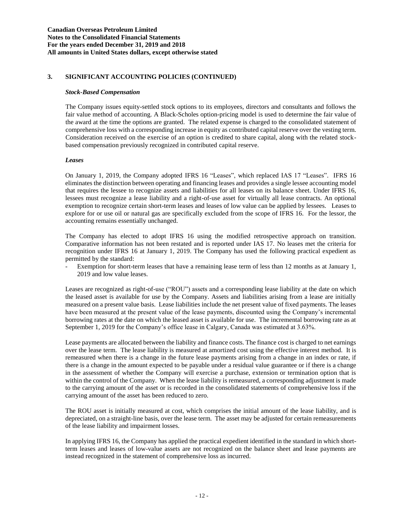#### *Stock-Based Compensation*

The Company issues equity-settled stock options to its employees, directors and consultants and follows the fair value method of accounting. A Black-Scholes option-pricing model is used to determine the fair value of the award at the time the options are granted. The related expense is charged to the consolidated statement of comprehensive loss with a corresponding increase in equity as contributed capital reserve over the vesting term. Consideration received on the exercise of an option is credited to share capital, along with the related stockbased compensation previously recognized in contributed capital reserve.

#### *Leases*

On January 1, 2019, the Company adopted IFRS 16 "Leases", which replaced IAS 17 "Leases". IFRS 16 eliminates the distinction between operating and financing leases and provides a single lessee accounting model that requires the lessee to recognize assets and liabilities for all leases on its balance sheet. Under IFRS 16, lessees must recognize a lease liability and a right-of-use asset for virtually all lease contracts. An optional exemption to recognize certain short-term leases and leases of low value can be applied by lessees. Leases to explore for or use oil or natural gas are specifically excluded from the scope of IFRS 16. For the lessor, the accounting remains essentially unchanged.

The Company has elected to adopt IFRS 16 using the modified retrospective approach on transition. Comparative information has not been restated and is reported under IAS 17. No leases met the criteria for recognition under IFRS 16 at January 1, 2019. The Company has used the following practical expedient as permitted by the standard:

- Exemption for short-term leases that have a remaining lease term of less than 12 months as at January 1, 2019 and low value leases.

Leases are recognized as right-of-use ("ROU") assets and a corresponding lease liability at the date on which the leased asset is available for use by the Company. Assets and liabilities arising from a lease are initially measured on a present value basis. Lease liabilities include the net present value of fixed payments. The leases have been measured at the present value of the lease payments, discounted using the Company's incremental borrowing rates at the date on which the leased asset is available for use. The incremental borrowing rate as at September 1, 2019 for the Company's office lease in Calgary, Canada was estimated at 3.63%.

Lease payments are allocated between the liability and finance costs. The finance cost is charged to net earnings over the lease term. The lease liability is measured at amortized cost using the effective interest method. It is remeasured when there is a change in the future lease payments arising from a change in an index or rate, if there is a change in the amount expected to be payable under a residual value guarantee or if there is a change in the assessment of whether the Company will exercise a purchase, extension or termination option that is within the control of the Company. When the lease liability is remeasured, a corresponding adjustment is made to the carrying amount of the asset or is recorded in the consolidated statements of comprehensive loss if the carrying amount of the asset has been reduced to zero.

The ROU asset is initially measured at cost, which comprises the initial amount of the lease liability, and is depreciated, on a straight-line basis, over the lease term. The asset may be adjusted for certain remeasurements of the lease liability and impairment losses.

In applying IFRS 16, the Company has applied the practical expedient identified in the standard in which shortterm leases and leases of low-value assets are not recognized on the balance sheet and lease payments are instead recognized in the statement of comprehensive loss as incurred.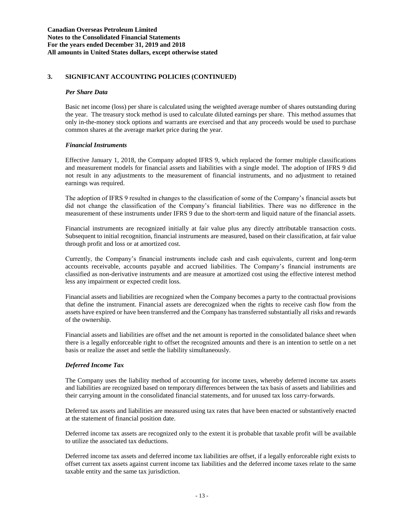#### *Per Share Data*

Basic net income (loss) per share is calculated using the weighted average number of shares outstanding during the year. The treasury stock method is used to calculate diluted earnings per share. This method assumes that only in-the-money stock options and warrants are exercised and that any proceeds would be used to purchase common shares at the average market price during the year.

#### *Financial Instruments*

Effective January 1, 2018, the Company adopted IFRS 9, which replaced the former multiple classifications and measurement models for financial assets and liabilities with a single model. The adoption of IFRS 9 did not result in any adjustments to the measurement of financial instruments, and no adjustment to retained earnings was required.

The adoption of IFRS 9 resulted in changes to the classification of some of the Company's financial assets but did not change the classification of the Company's financial liabilities. There was no difference in the measurement of these instruments under IFRS 9 due to the short-term and liquid nature of the financial assets.

Financial instruments are recognized initially at fair value plus any directly attributable transaction costs. Subsequent to initial recognition, financial instruments are measured, based on their classification, at fair value through profit and loss or at amortized cost.

Currently, the Company's financial instruments include cash and cash equivalents, current and long-term accounts receivable, accounts payable and accrued liabilities. The Company's financial instruments are classified as non-derivative instruments and are measure at amortized cost using the effective interest method less any impairment or expected credit loss.

Financial assets and liabilities are recognized when the Company becomes a party to the contractual provisions that define the instrument. Financial assets are derecognized when the rights to receive cash flow from the assets have expired or have been transferred and the Company has transferred substantially all risks and rewards of the ownership.

Financial assets and liabilities are offset and the net amount is reported in the consolidated balance sheet when there is a legally enforceable right to offset the recognized amounts and there is an intention to settle on a net basis or realize the asset and settle the liability simultaneously.

# *Deferred Income Tax*

The Company uses the liability method of accounting for income taxes, whereby deferred income tax assets and liabilities are recognized based on temporary differences between the tax basis of assets and liabilities and their carrying amount in the consolidated financial statements, and for unused tax loss carry-forwards.

Deferred tax assets and liabilities are measured using tax rates that have been enacted or substantively enacted at the statement of financial position date.

Deferred income tax assets are recognized only to the extent it is probable that taxable profit will be available to utilize the associated tax deductions.

Deferred income tax assets and deferred income tax liabilities are offset, if a legally enforceable right exists to offset current tax assets against current income tax liabilities and the deferred income taxes relate to the same taxable entity and the same tax jurisdiction.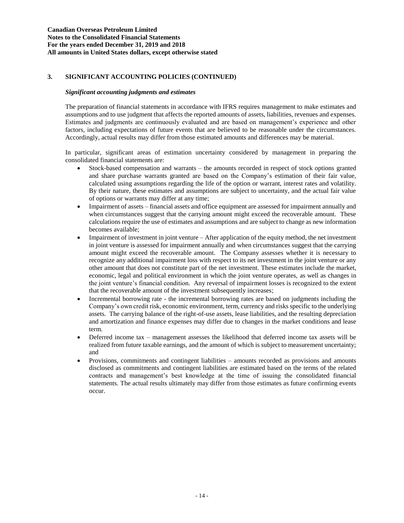#### *Significant accounting judgments and estimates*

The preparation of financial statements in accordance with IFRS requires management to make estimates and assumptions and to use judgment that affects the reported amounts of assets, liabilities, revenues and expenses. Estimates and judgments are continuously evaluated and are based on management's experience and other factors, including expectations of future events that are believed to be reasonable under the circumstances. Accordingly, actual results may differ from those estimated amounts and differences may be material.

In particular, significant areas of estimation uncertainty considered by management in preparing the consolidated financial statements are:

- Stock-based compensation and warrants the amounts recorded in respect of stock options granted and share purchase warrants granted are based on the Company's estimation of their fair value, calculated using assumptions regarding the life of the option or warrant, interest rates and volatility. By their nature, these estimates and assumptions are subject to uncertainty, and the actual fair value of options or warrants may differ at any time;
- Impairment of assets financial assets and office equipment are assessed for impairment annually and when circumstances suggest that the carrying amount might exceed the recoverable amount. These calculations require the use of estimates and assumptions and are subject to change as new information becomes available;
- Impairment of investment in joint venture After application of the equity method, the net investment in joint venture is assessed for impairment annually and when circumstances suggest that the carrying amount might exceed the recoverable amount. The Company assesses whether it is necessary to recognize any additional impairment loss with respect to its net investment in the joint venture or any other amount that does not constitute part of the net investment. These estimates include the market, economic, legal and political environment in which the joint venture operates, as well as changes in the joint venture's financial condition. Any reversal of impairment losses is recognized to the extent that the recoverable amount of the investment subsequently increases;
- Incremental borrowing rate the incremental borrowing rates are based on judgments including the Company's own credit risk, economic environment, term, currency and risks specific to the underlying assets. The carrying balance of the right-of-use assets, lease liabilities, and the resulting depreciation and amortization and finance expenses may differ due to changes in the market conditions and lease term.
- Deferred income tax management assesses the likelihood that deferred income tax assets will be realized from future taxable earnings, and the amount of which is subject to measurement uncertainty; and
- Provisions, commitments and contingent liabilities amounts recorded as provisions and amounts disclosed as commitments and contingent liabilities are estimated based on the terms of the related contracts and management's best knowledge at the time of issuing the consolidated financial statements. The actual results ultimately may differ from those estimates as future confirming events occur.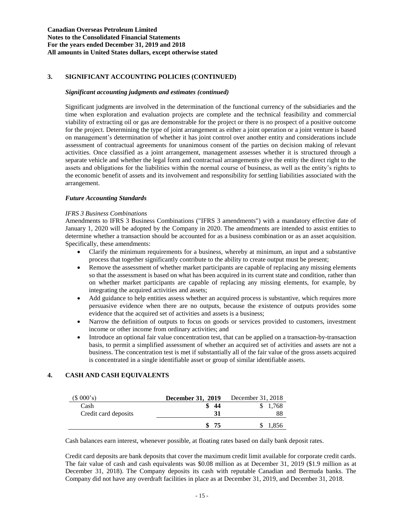#### *Significant accounting judgments and estimates (continued)*

Significant judgments are involved in the determination of the functional currency of the subsidiaries and the time when exploration and evaluation projects are complete and the technical feasibility and commercial viability of extracting oil or gas are demonstrable for the project or there is no prospect of a positive outcome for the project. Determining the type of joint arrangement as either a joint operation or a joint venture is based on management's determination of whether it has joint control over another entity and considerations include assessment of contractual agreements for unanimous consent of the parties on decision making of relevant activities. Once classified as a joint arrangement, management assesses whether it is structured through a separate vehicle and whether the legal form and contractual arrangements give the entity the direct right to the assets and obligations for the liabilities within the normal course of business, as well as the entity's rights to the economic benefit of assets and its involvement and responsibility for settling liabilities associated with the arrangement.

#### *Future Accounting Standards*

#### *IFRS 3 Business Combinations*

Amendments to IFRS 3 Business Combinations ("IFRS 3 amendments") with a mandatory effective date of January 1, 2020 will be adopted by the Company in 2020. The amendments are intended to assist entities to determine whether a transaction should be accounted for as a business combination or as an asset acquisition. Specifically, these amendments:

- Clarify the minimum requirements for a business, whereby at minimum, an input and a substantive process that together significantly contribute to the ability to create output must be present;
- Remove the assessment of whether market participants are capable of replacing any missing elements so that the assessment is based on what has been acquired in its current state and condition, rather than on whether market participants are capable of replacing any missing elements, for example, by integrating the acquired activities and assets;
- Add guidance to help entities assess whether an acquired process is substantive, which requires more persuasive evidence when there are no outputs, because the existence of outputs provides some evidence that the acquired set of activities and assets is a business;
- Narrow the definition of outputs to focus on goods or services provided to customers, investment income or other income from ordinary activities; and
- Introduce an optional fair value concentration test, that can be applied on a transaction-by-transaction basis, to permit a simplified assessment of whether an acquired set of activities and assets are not a business. The concentration test is met if substantially all of the fair value of the gross assets acquired is concentrated in a single identifiable asset or group of similar identifiable assets.

# **4. CASH AND CASH EQUIVALENTS**

| (\$000's)            | <b>December 31, 2019</b> | December 31, 2018 |
|----------------------|--------------------------|-------------------|
| Cash                 | -44                      | 1.768             |
| Credit card deposits | 31                       | 88                |
|                      | 75                       | 1,856             |

Cash balances earn interest, whenever possible, at floating rates based on daily bank deposit rates.

Credit card deposits are bank deposits that cover the maximum credit limit available for corporate credit cards. The fair value of cash and cash equivalents was \$0.08 million as at December 31, 2019 (\$1.9 million as at December 31, 2018). The Company deposits its cash with reputable Canadian and Bermuda banks. The Company did not have any overdraft facilities in place as at December 31, 2019, and December 31, 2018.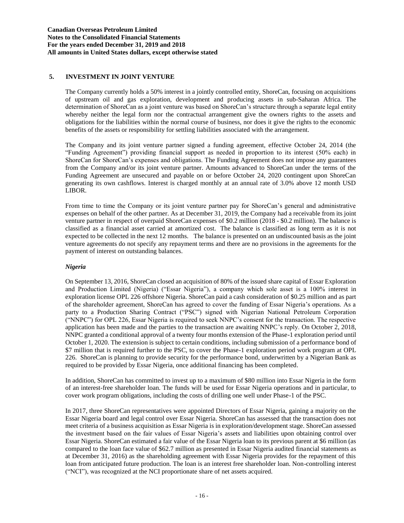# **5. INVESTMENT IN JOINT VENTURE**

The Company currently holds a 50% interest in a jointly controlled entity, ShoreCan, focusing on acquisitions of upstream oil and gas exploration, development and producing assets in sub-Saharan Africa. The determination of ShoreCan as a joint venture was based on ShoreCan's structure through a separate legal entity whereby neither the legal form nor the contractual arrangement give the owners rights to the assets and obligations for the liabilities within the normal course of business, nor does it give the rights to the economic benefits of the assets or responsibility for settling liabilities associated with the arrangement.

The Company and its joint venture partner signed a funding agreement, effective October 24, 2014 (the "Funding Agreement") providing financial support as needed in proportion to its interest (50% each) in ShoreCan for ShoreCan's expenses and obligations. The Funding Agreement does not impose any guarantees from the Company and/or its joint venture partner. Amounts advanced to ShoreCan under the terms of the Funding Agreement are unsecured and payable on or before October 24, 2020 contingent upon ShoreCan generating its own cashflows. Interest is charged monthly at an annual rate of 3.0% above 12 month USD LIBOR.

From time to time the Company or its joint venture partner pay for ShoreCan's general and administrative expenses on behalf of the other partner. As at December 31, 2019, the Company had a receivable from its joint venture partner in respect of overpaid ShoreCan expenses of \$0.2 million (2018 - \$0.2 million). The balance is classified as a financial asset carried at amortized cost. The balance is classified as long term as it is not expected to be collected in the next 12 months. The balance is presented on an undiscounted basis as the joint venture agreements do not specify any repayment terms and there are no provisions in the agreements for the payment of interest on outstanding balances.

# *Nigeria*

On September 13, 2016, ShoreCan closed an acquisition of 80% of the issued share capital of Essar Exploration and Production Limited (Nigeria) ("Essar Nigeria"), a company which sole asset is a 100% interest in exploration license OPL 226 offshore Nigeria. ShoreCan paid a cash consideration of \$0.25 million and as part of the shareholder agreement, ShoreCan has agreed to cover the funding of Essar Nigeria's operations. As a party to a Production Sharing Contract ("PSC") signed with Nigerian National Petroleum Corporation ("NNPC") for OPL 226, Essar Nigeria is required to seek NNPC's consent for the transaction. The respective application has been made and the parties to the transaction are awaiting NNPC's reply. On October 2, 2018, NNPC granted a conditional approval of a twenty four months extension of the Phase-1 exploration period until October 1, 2020. The extension is subject to certain conditions, including submission of a performance bond of \$7 million that is required further to the PSC, to cover the Phase-1 exploration period work program at OPL 226. ShoreCan is planning to provide security for the performance bond, underwritten by a Nigerian Bank as required to be provided by Essar Nigeria, once additional financing has been completed.

In addition, ShoreCan has committed to invest up to a maximum of \$80 million into Essar Nigeria in the form of an interest-free shareholder loan. The funds will be used for Essar Nigeria operations and in particular, to cover work program obligations, including the costs of drilling one well under Phase-1 of the PSC.

In 2017, three ShoreCan representatives were appointed Directors of Essar Nigeria, gaining a majority on the Essar Nigeria board and legal control over Essar Nigeria. ShoreCan has assessed that the transaction does not meet criteria of a business acquisition as Essar Nigeria is in exploration/development stage. ShoreCan assessed the investment based on the fair values of Essar Nigeria's assets and liabilities upon obtaining control over Essar Nigeria. ShoreCan estimated a fair value of the Essar Nigeria loan to its previous parent at \$6 million (as compared to the loan face value of \$62.7 million as presented in Essar Nigeria audited financial statements as at December 31, 2016) as the shareholding agreement with Essar Nigeria provides for the repayment of this loan from anticipated future production. The loan is an interest free shareholder loan. Non-controlling interest ("NCI"), was recognized at the NCI proportionate share of net assets acquired.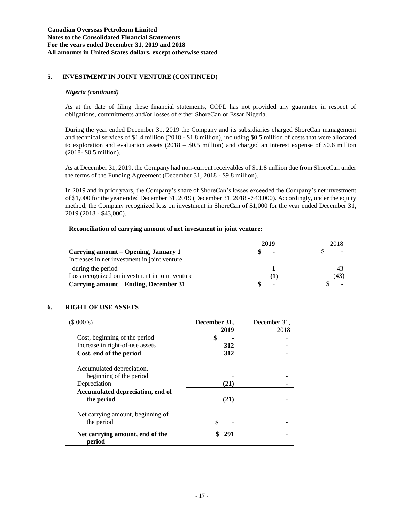# **5. INVESTMENT IN JOINT VENTURE (CONTINUED)**

#### *Nigeria (continued)*

As at the date of filing these financial statements, COPL has not provided any guarantee in respect of obligations, commitments and/or losses of either ShoreCan or Essar Nigeria.

During the year ended December 31, 2019 the Company and its subsidiaries charged ShoreCan management and technical services of \$1.4 million (2018 - \$1.8 million), including \$0.5 million of costs that were allocated to exploration and evaluation assets  $(2018 - $0.5 \text{ million})$  and charged an interest expense of \$0.6 million (2018- \$0.5 million).

As at December 31, 2019, the Company had non-current receivables of \$11.8 million due from ShoreCan under the terms of the Funding Agreement (December 31, 2018 - \$9.8 million).

In 2019 and in prior years, the Company's share of ShoreCan's losses exceeded the Company's net investment of \$1,000 for the year ended December 31, 2019 (December 31, 2018 - \$43,000). Accordingly, under the equity method, the Company recognized loss on investment in ShoreCan of \$1,000 for the year ended December 31, 2019 (2018 - \$43,000).

#### **Reconciliation of carrying amount of net investment in joint venture:**

|                                                | 2019 | 2018 |
|------------------------------------------------|------|------|
| Carrying amount – Opening, January 1           |      |      |
| Increases in net investment in joint venture   |      |      |
| during the period                              |      | 43   |
| Loss recognized on investment in joint venture |      | (43  |
| Carrying amount – Ending, December 31          |      |      |

# **6. RIGHT OF USE ASSETS**

| (\$000's)                                 | December 31, | December 31, |
|-------------------------------------------|--------------|--------------|
|                                           | 2019         | 2018         |
| Cost, beginning of the period             | \$           |              |
| Increase in right-of-use assets           | 312          |              |
| Cost, end of the period                   | 312          |              |
| Accumulated depreciation,                 |              |              |
| beginning of the period                   |              |              |
| Depreciation                              | (21)         |              |
| Accumulated depreciation, end of          |              |              |
| the period                                | (21)         |              |
| Net carrying amount, beginning of         |              |              |
| the period                                | \$           |              |
| Net carrying amount, end of the<br>period | 291          |              |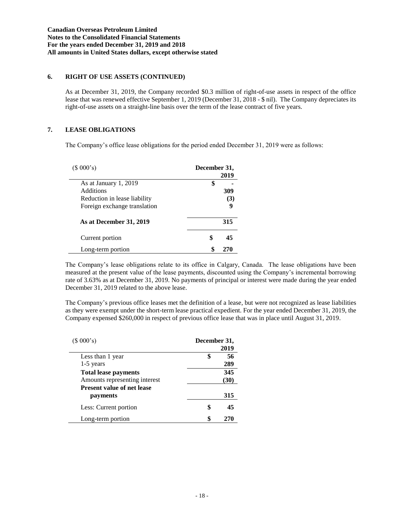# **6. RIGHT OF USE ASSETS (CONTINUED)**

As at December 31, 2019, the Company recorded \$0.3 million of right-of-use assets in respect of the office lease that was renewed effective September 1, 2019 (December 31, 2018 - \$ nil). The Company depreciates its right-of-use assets on a straight-line basis over the term of the lease contract of five years.

# **7. LEASE OBLIGATIONS**

The Company's office lease obligations for the period ended December 31, 2019 were as follows:

| (\$000's)                    | December 31,<br>2019 |
|------------------------------|----------------------|
| As at January 1, 2019        | \$                   |
| <b>Additions</b>             | 309                  |
| Reduction in lease liability | (3)                  |
| Foreign exchange translation |                      |
| As at December 31, 2019      | 315                  |
| Current portion              | 45<br>S              |
| Long-term portion            | 270                  |

The Company's lease obligations relate to its office in Calgary, Canada. The lease obligations have been measured at the present value of the lease payments, discounted using the Company's incremental borrowing rate of 3.63% as at December 31, 2019. No payments of principal or interest were made during the year ended December 31, 2019 related to the above lease.

The Company's previous office leases met the definition of a lease, but were not recognized as lease liabilities as they were exempt under the short-term lease practical expedient. For the year ended December 31, 2019, the Company expensed \$260,000 in respect of previous office lease that was in place until August 31, 2019.

| (\$000's)                         | December 31,<br>2019 |
|-----------------------------------|----------------------|
| Less than 1 year                  | 56<br>\$             |
| $1-5$ years                       | 289                  |
| <b>Total lease payments</b>       | 345                  |
| Amounts representing interest     | (30)                 |
| <b>Present value of net lease</b> |                      |
| payments                          | 315                  |
| Less: Current portion             | 45<br>S              |
| Long-term portion                 | \$<br>270            |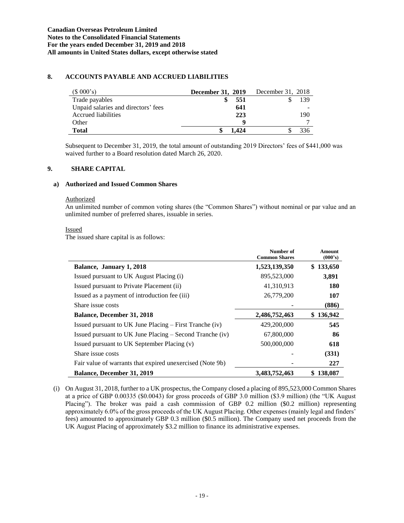# **8. ACCOUNTS PAYABLE AND ACCRUED LIABILITIES**

| (\$000's)                           | December 31, 2019 | December 31, 2018 |
|-------------------------------------|-------------------|-------------------|
| Trade payables                      | 551               | 139               |
| Unpaid salaries and directors' fees | 641               |                   |
| Accrued liabilities                 | 223               | 190               |
| Other                               |                   |                   |
| <b>Total</b>                        | 1.424             |                   |

Subsequent to December 31, 2019, the total amount of outstanding 2019 Directors' fees of \$441,000 was waived further to a Board resolution dated March 26, 2020.

# **9. SHARE CAPITAL**

# **a) Authorized and Issued Common Shares**

#### Authorized

An unlimited number of common voting shares (the "Common Shares") without nominal or par value and an unlimited number of preferred shares, issuable in series.

#### Issued

The issued share capital is as follows:

|                                                           | Number of<br><b>Common Shares</b> | Amount<br>(000's) |
|-----------------------------------------------------------|-----------------------------------|-------------------|
| Balance, January 1, 2018                                  | 1,523,139,350                     | \$133,650         |
| Issued pursuant to UK August Placing (i)                  | 895,523,000                       | 3,891             |
| Issued pursuant to Private Placement (ii)                 | 41,310,913                        | <b>180</b>        |
| Issued as a payment of introduction fee (iii)             | 26,779,200                        | 107               |
| Share issue costs                                         |                                   | (886)             |
| <b>Balance, December 31, 2018</b>                         | 2,486,752,463                     | \$136,942         |
| Issued pursuant to UK June Placing $-$ First Tranche (iv) | 429,200,000                       | 545               |
| Issued pursuant to UK June Placing – Second Tranche (iv)  | 67,800,000                        | 86                |
| Issued pursuant to UK September Placing (v)               | 500,000,000                       | 618               |
| Share issue costs                                         |                                   | (331)             |
| Fair value of warrants that expired unexercised (Note 9b) |                                   | 227               |
| <b>Balance, December 31, 2019</b>                         | 3,483,752,463                     | 138,087<br>\$     |

(i) On August 31, 2018, further to a UK prospectus, the Company closed a placing of 895,523,000 Common Shares at a price of GBP 0.00335 (\$0.0043) for gross proceeds of GBP 3.0 million (\$3.9 million) (the "UK August Placing"). The broker was paid a cash commission of GBP 0.2 million (\$0.2 million) representing approximately 6.0% of the gross proceeds of the UK August Placing. Other expenses (mainly legal and finders' fees) amounted to approximately GBP 0.3 million (\$0.5 million). The Company used net proceeds from the UK August Placing of approximately \$3.2 million to finance its administrative expenses.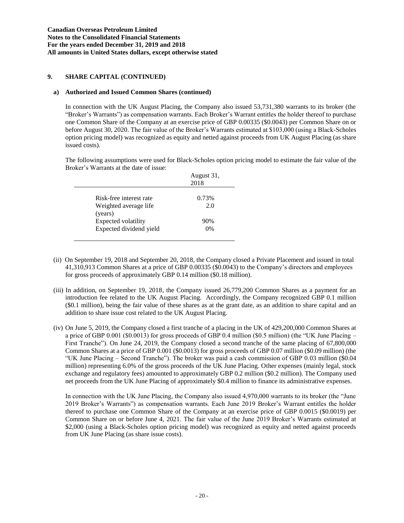#### **a) Authorized and Issued Common Shares (continued)**

In connection with the UK August Placing, the Company also issued 53,731,380 warrants to its broker (the "Broker's Warrants") as compensation warrants. Each Broker's Warrant entitles the holder thereof to purchase one Common Share of the Company at an exercise price of GBP 0.00335 (\$0.0043) per Common Share on or before August 30, 2020. The fair value of the Broker's Warrants estimated at \$103,000 (using a Black-Scholes option pricing model) was recognized as equity and netted against proceeds from UK August Placing (as share issued costs).

The following assumptions were used for Black-Scholes option pricing model to estimate the fair value of the Broker's Warrants at the date of issue:

|                                  | August 31,<br>2018 |
|----------------------------------|--------------------|
| Risk-free interest rate          | 0.73%              |
| Weighted average life<br>(years) | 2.0                |
| Expected volatility              | 90%                |
| Expected dividend yield          | 0%                 |

- (ii) On September 19, 2018 and September 20, 2018, the Company closed a Private Placement and issued in total 41,310,913 Common Shares at a price of GBP 0.00335 (\$0.0043) to the Company's directors and employees for gross proceeds of approximately GBP 0.14 million (\$0.18 million).
- (iii) In addition, on September 19, 2018, the Company issued 26,779,200 Common Shares as a payment for an introduction fee related to the UK August Placing. Accordingly, the Company recognized GBP 0.1 million (\$0.1 million), being the fair value of these shares as at the grant date, as an addition to share capital and an addition to share issue cost related to the UK August Placing.
- (iv) On June 5, 2019, the Company closed a first tranche of a placing in the UK of 429,200,000 Common Shares at a price of GBP 0.001 (\$0.0013) for gross proceeds of GBP 0.4 million (\$0.5 million) (the "UK June Placing – First Tranche"). On June 24, 2019, the Company closed a second tranche of the same placing of 67,800,000 Common Shares at a price of GBP 0.001 (\$0.0013) for gross proceeds of GBP 0.07 million (\$0.09 million) (the "UK June Placing – Second Tranche"). The broker was paid a cash commission of GBP 0.03 million (\$0.04 million) representing 6.0% of the gross proceeds of the UK June Placing. Other expenses (mainly legal, stock exchange and regulatory fees) amounted to approximately GBP 0.2 million (\$0.2 million). The Company used net proceeds from the UK June Placing of approximately \$0.4 million to finance its administrative expenses.

In connection with the UK June Placing, the Company also issued 4,970,000 warrants to its broker (the "June 2019 Broker's Warrants") as compensation warrants. Each June 2019 Broker's Warrant entitles the holder thereof to purchase one Common Share of the Company at an exercise price of GBP 0.0015 (\$0.0019) per Common Share on or before June 4, 2021. The fair value of the June 2019 Broker's Warrants estimated at \$2,000 (using a Black-Scholes option pricing model) was recognized as equity and netted against proceeds from UK June Placing (as share issue costs).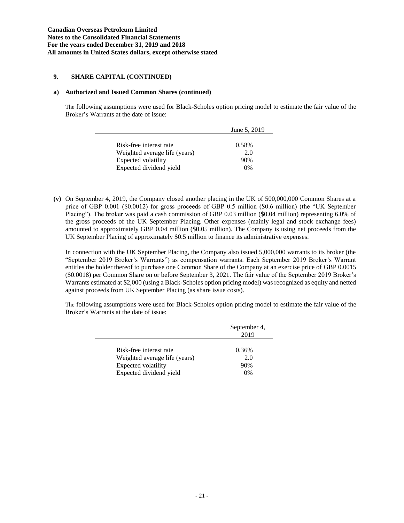#### **a) Authorized and Issued Common Shares (continued)**

The following assumptions were used for Black-Scholes option pricing model to estimate the fair value of the Broker's Warrants at the date of issue:

|                               | June 5, 2019 |  |
|-------------------------------|--------------|--|
|                               |              |  |
| Risk-free interest rate       | 0.58%        |  |
| Weighted average life (years) | 2.0          |  |
| Expected volatility           | 90%          |  |
| Expected dividend yield       | 0%           |  |

**(v)** On September 4, 2019, the Company closed another placing in the UK of 500,000,000 Common Shares at a price of GBP 0.001 (\$0.0012) for gross proceeds of GBP 0.5 million (\$0.6 million) (the "UK September Placing"). The broker was paid a cash commission of GBP 0.03 million (\$0.04 million) representing 6.0% of the gross proceeds of the UK September Placing. Other expenses (mainly legal and stock exchange fees) amounted to approximately GBP 0.04 million (\$0.05 million). The Company is using net proceeds from the UK September Placing of approximately \$0.5 million to finance its administrative expenses.

In connection with the UK September Placing, the Company also issued 5,000,000 warrants to its broker (the "September 2019 Broker's Warrants") as compensation warrants. Each September 2019 Broker's Warrant entitles the holder thereof to purchase one Common Share of the Company at an exercise price of GBP 0.0015 (\$0.0018) per Common Share on or before September 3, 2021. The fair value of the September 2019 Broker's Warrants estimated at \$2,000 (using a Black-Scholes option pricing model) was recognized as equity and netted against proceeds from UK September Placing (as share issue costs).

The following assumptions were used for Black-Scholes option pricing model to estimate the fair value of the Broker's Warrants at the date of issue:

|                               | September 4,<br>2019 |  |
|-------------------------------|----------------------|--|
| Risk-free interest rate       | 0.36%                |  |
| Weighted average life (years) | 2.0                  |  |
| Expected volatility           | 90%                  |  |
| Expected dividend yield       | 0%                   |  |
|                               |                      |  |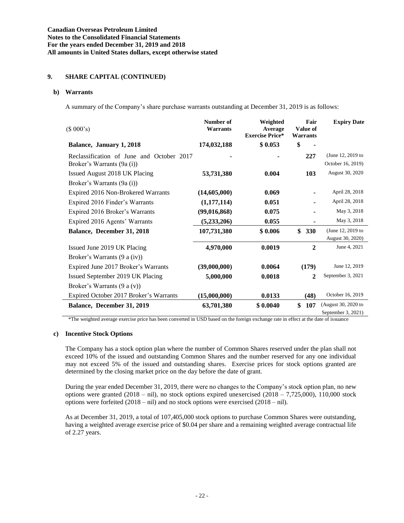#### **b) Warrants**

A summary of the Company's share purchase warrants outstanding at December 31, 2019 is as follows:

| (\$000's)                                                               | Number of<br><b>Warrants</b> | Weighted<br>Average<br><b>Exercise Price*</b> | Fair<br>Value of<br><b>Warrants</b> | <b>Expiry Date</b>                     |
|-------------------------------------------------------------------------|------------------------------|-----------------------------------------------|-------------------------------------|----------------------------------------|
| Balance, January 1, 2018                                                | 174,032,188                  | \$0.053                                       | \$                                  |                                        |
| Reclassification of June and October 2017<br>Broker's Warrants (9a (i)) |                              |                                               | 227                                 | (June 12, 2019 to<br>October 16, 2019) |
| Issued August 2018 UK Placing                                           | 53,731,380                   | 0.004                                         | 103                                 | August 30, 2020                        |
| Broker's Warrants (9a (i))                                              |                              |                                               |                                     |                                        |
| Expired 2016 Non-Brokered Warrants                                      | (14,605,000)                 | 0.069                                         |                                     | April 28, 2018                         |
| Expired 2016 Finder's Warrants                                          | (1,177,114)                  | 0.051                                         |                                     | April 28, 2018                         |
| Expired 2016 Broker's Warrants                                          | (99,016,868)                 | 0.075                                         |                                     | May 3, 2018                            |
| Expired 2016 Agents' Warrants                                           | (5,233,206)                  | 0.055                                         |                                     | May 3, 2018                            |
| Balance, December 31, 2018                                              | 107,731,380                  | \$0.006                                       | \$<br><b>330</b>                    | (June 12, 2019 to<br>August 30, 2020)  |
| Issued June 2019 UK Placing                                             | 4,970,000                    | 0.0019                                        | $\mathbf{2}$                        | June 4, 2021                           |
| Broker's Warrants (9 a (iv))                                            |                              |                                               |                                     |                                        |
| Expired June 2017 Broker's Warrants                                     | (39,000,000)                 | 0.0064                                        | (179)                               | June 12, 2019                          |
| Issued September 2019 UK Placing                                        | 5,000,000                    | 0.0018                                        | $\mathbf{2}$                        | September 3, 2021                      |
| Broker's Warrants $(9 a (v))$                                           |                              |                                               |                                     |                                        |
| Expired October 2017 Broker's Warrants                                  | (15,000,000)                 | 0.0133                                        | (48)                                | October 16, 2019                       |
| Balance, December 31, 2019                                              | 63,701,380                   | \$0.0040                                      | \$<br>107                           | (August 30, 2020 to                    |
|                                                                         |                              |                                               |                                     | September 3, 2021)                     |

\*The weighted average exercise price has been converted in USD based on the foreign exchange rate in effect at the date of issuance

#### **c) Incentive Stock Options**

 $\overline{a}$ 

The Company has a stock option plan where the number of Common Shares reserved under the plan shall not exceed 10% of the issued and outstanding Common Shares and the number reserved for any one individual may not exceed 5% of the issued and outstanding shares. Exercise prices for stock options granted are determined by the closing market price on the day before the date of grant.

During the year ended December 31, 2019, there were no changes to the Company's stock option plan, no new options were granted (2018 – nil), no stock options expired unexercised (2018 – 7,725,000), 110,000 stock options were forfeited (2018 – nil) and no stock options were exercised (2018 – nil).

As at December 31, 2019, a total of 107,405,000 stock options to purchase Common Shares were outstanding, having a weighted average exercise price of \$0.04 per share and a remaining weighted average contractual life of 2.27 years.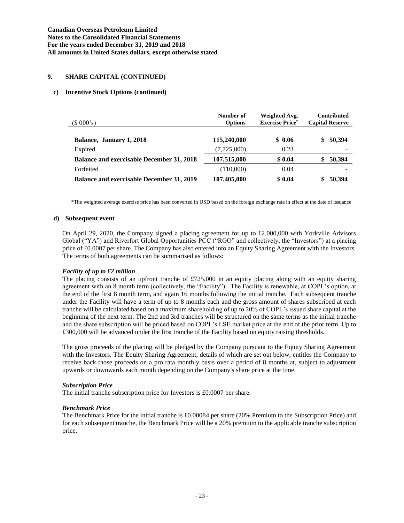#### **c) Incentive Stock Options (continued)**

| (\$000's)                                        | Number of<br><b>Options</b> | Weighted Avg.<br><b>Exercise Price*</b> | <b>Contributed</b><br><b>Capital Reserve</b> |
|--------------------------------------------------|-----------------------------|-----------------------------------------|----------------------------------------------|
| Balance, January 1, 2018                         | 115,240,000                 | \$0.06                                  | 50,394<br>S.                                 |
| Expired                                          | (7,725,000)                 | 0.23                                    |                                              |
| <b>Balance and exercisable December 31, 2018</b> | 107,515,000                 | \$0.04                                  | 50,394                                       |
| Forfeited                                        | (110,000)                   | 0.04                                    |                                              |
| <b>Balance and exercisable December 31, 2019</b> | 107,405,000                 | \$0.04                                  | 50,394                                       |

\*The weighted average exercise price has been converted in USD based on the foreign exchange rate in effect at the date of issuance

#### **d) Subsequent event**

On April 29, 2020, the Company signed a placing agreement for up to £2,000,000 with Yorkville Advisors Global ("YA") and Riverfort Global Opportunities PCC ("RGO" and collectively, the "Investors") at a placing price of £0.0007 per share. The Company has also entered into an Equity Sharing Agreement with the Investors. The terms of both agreements can be summarised as follows:

# *Facility of up to £2 million*

The placing consists of an upfront tranche of £725,000 in an equity placing along with an equity sharing agreement with an 8 month term (collectively, the "Facility"). The Facility is renewable, at COPL's option, at the end of the first 8 month term, and again 16 months following the initial tranche. Each subsequent tranche under the Facility will have a term of up to 8 months each and the gross amount of shares subscribed at each tranche will be calculated based on a maximum shareholding of up to 20% of COPL's issued share capital at the beginning of the next term. The 2nd and 3rd tranches will be structured on the same terms as the initial tranche and the share subscription will be priced based on COPL's LSE market price at the end of the prior term. Up to £300,000 will be advanced under the first tranche of the Facility based on equity raising thresholds.

The gross proceeds of the placing will be pledged by the Company pursuant to the Equity Sharing Agreement with the Investors. The Equity Sharing Agreement, details of which are set out below, entitles the Company to receive back those proceeds on a pro rata monthly basis over a period of 8 months at, subject to adjustment upwards or downwards each month depending on the Company's share price at the time.

# *Subscription Price*

The initial tranche subscription price for Investors is £0.0007 per share.

# *Benchmark Price*

The Benchmark Price for the initial tranche is £0.00084 per share (20% Premium to the Subscription Price) and for each subsequent tranche, the Benchmark Price will be a 20% premium to the applicable tranche subscription price.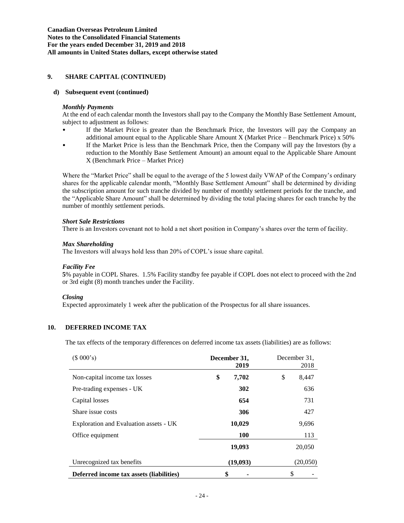#### **d) Subsequent event (continued)**

#### *Monthly Payments*

At the end of each calendar month the Investors shall pay to the Company the Monthly Base Settlement Amount, subject to adjustment as follows:

- If the Market Price is greater than the Benchmark Price, the Investors will pay the Company an additional amount equal to the Applicable Share Amount X (Market Price – Benchmark Price)  $x\,50\%$
- If the Market Price is less than the Benchmark Price, then the Company will pay the Investors (by a reduction to the Monthly Base Settlement Amount) an amount equal to the Applicable Share Amount X (Benchmark Price – Market Price)

Where the "Market Price" shall be equal to the average of the 5 lowest daily VWAP of the Company's ordinary shares for the applicable calendar month, "Monthly Base Settlement Amount" shall be determined by dividing the subscription amount for such tranche divided by number of monthly settlement periods for the tranche, and the "Applicable Share Amount" shall be determined by dividing the total placing shares for each tranche by the number of monthly settlement periods.

# *Short Sale Restrictions*

There is an Investors covenant not to hold a net short position in Company's shares over the term of facility.

#### *Max Shareholding*

The Investors will always hold less than 20% of COPL's issue share capital.

# *Facility Fee*

**5**% payable in COPL Shares. 1.5% Facility standby fee payable if COPL does not elect to proceed with the 2nd or 3rd eight (8) month tranches under the Facility.

# *Closing*

Expected approximately 1 week after the publication of the Prospectus for all share issuances.

# **10. DEFERRED INCOME TAX**

The tax effects of the temporary differences on deferred income tax assets (liabilities) are as follows:

| (\$000's)                                | December 31,<br>2019 | December 31.<br>2018 |
|------------------------------------------|----------------------|----------------------|
| Non-capital income tax losses            | \$<br>7,702          | \$<br>8,447          |
| Pre-trading expenses - UK                | 302                  | 636                  |
| Capital losses                           | 654                  | 731                  |
| Share issue costs                        | 306                  | 427                  |
| Exploration and Evaluation assets - UK   | 10,029               | 9,696                |
| Office equipment                         | <b>100</b>           | 113                  |
|                                          | 19,093               | 20,050               |
| Unrecognized tax benefits                | (19,093)             | (20,050)             |
| Deferred income tax assets (liabilities) | \$                   | \$                   |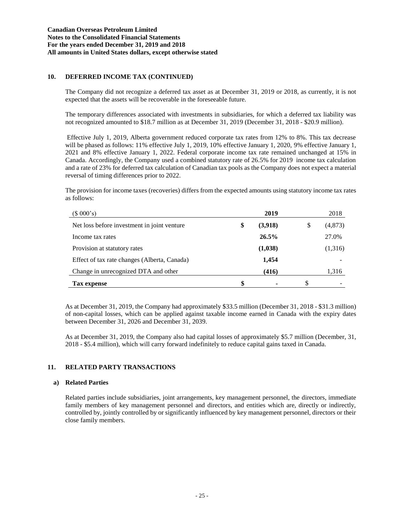# **10. DEFERRED INCOME TAX (CONTINUED)**

The Company did not recognize a deferred tax asset as at December 31, 2019 or 2018, as currently, it is not expected that the assets will be recoverable in the foreseeable future.

The temporary differences associated with investments in subsidiaries, for which a deferred tax liability was not recognized amounted to \$18.7 million as at December 31, 2019 (December 31, 2018 - \$20.9 million).

Effective July 1, 2019, Alberta government reduced corporate tax rates from 12% to 8%. This tax decrease will be phased as follows: 11% effective July 1, 2019, 10% effective January 1, 2020, 9% effective January 1, 2021 and 8% effective January 1, 2022. Federal corporate income tax rate remained unchanged at 15% in Canada. Accordingly, the Company used a combined statutory rate of 26.5% for 2019 income tax calculation and a rate of 23% for deferred tax calculation of Canadian tax pools as the Company does not expect a material reversal of timing differences prior to 2022.

The provision for income taxes (recoveries) differs from the expected amounts using statutory income tax rates as follows:

| (\$000's)                                    | 2019          |    | 2018    |
|----------------------------------------------|---------------|----|---------|
| Net loss before investment in joint venture  | \$<br>(3,918) | \$ | (4,873) |
| Income tax rates                             | 26.5%         |    | 27.0%   |
| Provision at statutory rates                 | (1,038)       |    | (1,316) |
| Effect of tax rate changes (Alberta, Canada) | 1,454         |    |         |
| Change in unrecognized DTA and other         | (416)         |    | 1,316   |
| Tax expense                                  | \$            | S  |         |

As at December 31, 2019, the Company had approximately \$33.5 million (December 31, 2018 - \$31.3 million) of non-capital losses, which can be applied against taxable income earned in Canada with the expiry dates between December 31, 2026 and December 31, 2039.

As at December 31, 2019, the Company also had capital losses of approximately \$5.7 million (December, 31, 2018 - \$5.4 million), which will carry forward indefinitely to reduce capital gains taxed in Canada.

# **11. RELATED PARTY TRANSACTIONS**

#### **a) Related Parties**

Related parties include subsidiaries, joint arrangements, key management personnel, the directors, immediate family members of key management personnel and directors, and entities which are, directly or indirectly, controlled by, jointly controlled by or significantly influenced by key management personnel, directors or their close family members.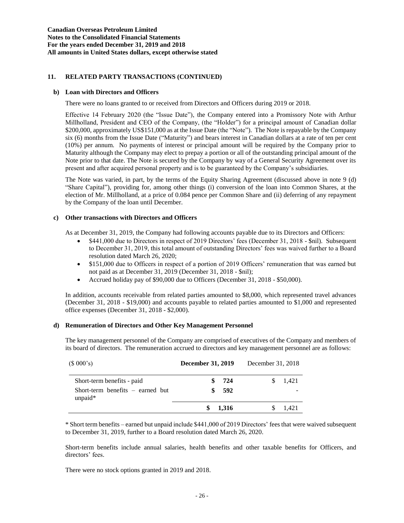# **11. RELATED PARTY TRANSACTIONS (CONTINUED)**

#### **b) Loan with Directors and Officers**

There were no loans granted to or received from Directors and Officers during 2019 or 2018.

Effective 14 February 2020 (the "Issue Date"), the Company entered into a Promissory Note with Arthur Millholland, President and CEO of the Company, (the "Holder") for a principal amount of Canadian dollar \$200,000, approximately US\$151,000 as at the Issue Date (the "Note"). The Note is repayable by the Company six (6) months from the Issue Date ("Maturity") and bears interest in Canadian dollars at a rate of ten per cent (10%) per annum. No payments of interest or principal amount will be required by the Company prior to Maturity although the Company may elect to prepay a portion or all of the outstanding principal amount of the Note prior to that date. The Note is secured by the Company by way of a General Security Agreement over its present and after acquired personal property and is to be guaranteed by the Company's subsidiaries.

The Note was varied, in part, by the terms of the Equity Sharing Agreement (discussed above in note 9 (d) "Share Capital"), providing for, among other things (i) conversion of the loan into Common Shares, at the election of Mr. Millholland, at a price of 0.084 pence per Common Share and (ii) deferring of any repayment by the Company of the loan until December.

#### **c) Other transactions with Directors and Officers**

As at December 31, 2019, the Company had following accounts payable due to its Directors and Officers:

- \$441,000 due to Directors in respect of 2019 Directors' fees (December 31, 2018 \$nil). Subsequent to December 31, 2019, this total amount of outstanding Directors' fees was waived further to a Board resolution dated March 26, 2020;
- \$151,000 due to Officers in respect of a portion of 2019 Officers' remuneration that was earned but not paid as at December 31, 2019 (December 31, 2018 - \$nil);
- Accrued holiday pay of \$90,000 due to Officers (December 31, 2018 \$50,000).

In addition, accounts receivable from related parties amounted to \$8,000, which represented travel advances (December 31, 2018 - \$19,000) and accounts payable to related parties amounted to \$1,000 and represented office expenses (December 31, 2018 - \$2,000).

#### **d) Remuneration of Directors and Other Key Management Personnel**

The key management personnel of the Company are comprised of executives of the Company and members of its board of directors. The remuneration accrued to directors and key management personnel are as follows:

| (\$000's)                                                                      | <b>December 31, 2019</b> | December 31, 2018 |
|--------------------------------------------------------------------------------|--------------------------|-------------------|
| Short-term benefits - paid<br>Short-term benefits $-$ earned but<br>unpaid $*$ | 724<br>592               | 1,421             |
|                                                                                | 1,316                    | 1.421             |

\* Short term benefits – earned but unpaid include \$441,000 of 2019 Directors' fees that were waived subsequent to December 31, 2019, further to a Board resolution dated March 26, 2020.

Short-term benefits include annual salaries, health benefits and other taxable benefits for Officers, and directors' fees.

There were no stock options granted in 2019 and 2018.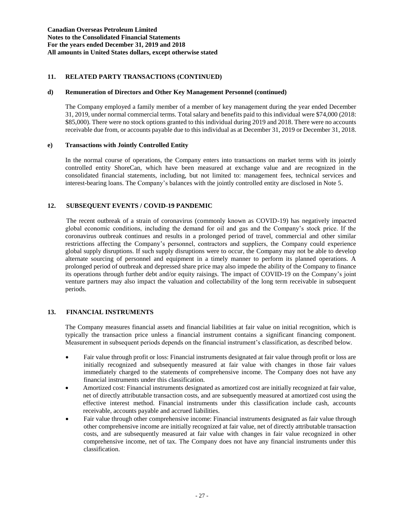# **11. RELATED PARTY TRANSACTIONS (CONTINUED)**

#### **d) Remuneration of Directors and Other Key Management Personnel (continued)**

The Company employed a family member of a member of key management during the year ended December 31, 2019, under normal commercial terms. Total salary and benefits paid to this individual were \$74,000 (2018: \$85,000). There were no stock options granted to this individual during 2019 and 2018. There were no accounts receivable due from, or accounts payable due to this individual as at December 31, 2019 or December 31, 2018.

#### **e) Transactions with Jointly Controlled Entity**

In the normal course of operations, the Company enters into transactions on market terms with its jointly controlled entity ShoreCan, which have been measured at exchange value and are recognized in the consolidated financial statements, including, but not limited to: management fees, technical services and interest-bearing loans. The Company's balances with the jointly controlled entity are disclosed in Note 5.

# **12. SUBSEQUENT EVENTS / COVID-19 PANDEMIC**

The recent outbreak of a strain of coronavirus (commonly known as COVID-19) has negatively impacted global economic conditions, including the demand for oil and gas and the Company's stock price. If the coronavirus outbreak continues and results in a prolonged period of travel, commercial and other similar restrictions affecting the Company's personnel, contractors and suppliers, the Company could experience global supply disruptions. If such supply disruptions were to occur, the Company may not be able to develop alternate sourcing of personnel and equipment in a timely manner to perform its planned operations. A prolonged period of outbreak and depressed share price may also impede the ability of the Company to finance its operations through further debt and/or equity raisings. The impact of COVID-19 on the Company's joint venture partners may also impact the valuation and collectability of the long term receivable in subsequent periods.

# **13. FINANCIAL INSTRUMENTS**

The Company measures financial assets and financial liabilities at fair value on initial recognition, which is typically the transaction price unless a financial instrument contains a significant financing component. Measurement in subsequent periods depends on the financial instrument's classification, as described below.

- Fair value through profit or loss: Financial instruments designated at fair value through profit or loss are initially recognized and subsequently measured at fair value with changes in those fair values immediately charged to the statements of comprehensive income. The Company does not have any financial instruments under this classification.
- Amortized cost: Financial instruments designated as amortized cost are initially recognized at fair value, net of directly attributable transaction costs, and are subsequently measured at amortized cost using the effective interest method. Financial instruments under this classification include cash, accounts receivable, accounts payable and accrued liabilities.
- Fair value through other comprehensive income: Financial instruments designated as fair value through other comprehensive income are initially recognized at fair value, net of directly attributable transaction costs, and are subsequently measured at fair value with changes in fair value recognized in other comprehensive income, net of tax. The Company does not have any financial instruments under this classification.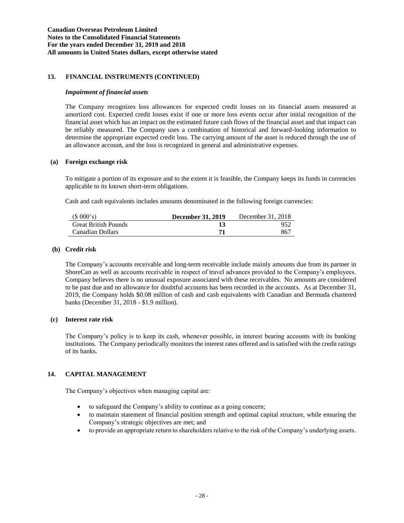# **13. FINANCIAL INSTRUMENTS (CONTINUED)**

#### *Impairment of financial assets*

The Company recognizes loss allowances for expected credit losses on its financial assets measured at amortized cost. Expected credit losses exist if one or more loss events occur after initial recognition of the financial asset which has an impact on the estimated future cash flows of the financial asset and that impact can be reliably measured. The Company uses a combination of historical and forward-looking information to determine the appropriate expected credit loss. The carrying amount of the asset is reduced through the use of an allowance account, and the loss is recognized in general and administrative expenses.

# **(a) Foreign exchange risk**

To mitigate a portion of its exposure and to the extent it is feasible, the Company keeps its funds in currencies applicable to its known short-term obligations.

Cash and cash equivalents includes amounts denominated in the following foreign currencies:

| $(S\ 000's)$                | <b>December 31, 2019</b> | December 31, 2018 |
|-----------------------------|--------------------------|-------------------|
| <b>Great British Pounds</b> |                          | 952               |
| Canadian Dollars            |                          | 867               |

#### **(b) Credit risk**

The Company's accounts receivable and long-term receivable include mainly amounts due from its partner in ShoreCan as well as accounts receivable in respect of travel advances provided to the Company's employees. Company believes there is no unusual exposure associated with these receivables. No amounts are considered to be past due and no allowance for doubtful accounts has been recorded in the accounts. As at December 31, 2019, the Company holds \$0.08 million of cash and cash equivalents with Canadian and Bermuda chartered banks (December 31, 2018 - \$1.9 million).

# **(c) Interest rate risk**

The Company's policy is to keep its cash, whenever possible, in interest bearing accounts with its banking institutions. The Company periodically monitors the interest rates offered and is satisfied with the credit ratings of its banks.

# **14. CAPITAL MANAGEMENT**

The Company's objectives when managing capital are:

- to safeguard the Company's ability to continue as a going concern;
- to maintain statement of financial position strength and optimal capital structure, while ensuring the Company's strategic objectives are met; and
- to provide an appropriate return to shareholders relative to the risk of the Company's underlying assets.